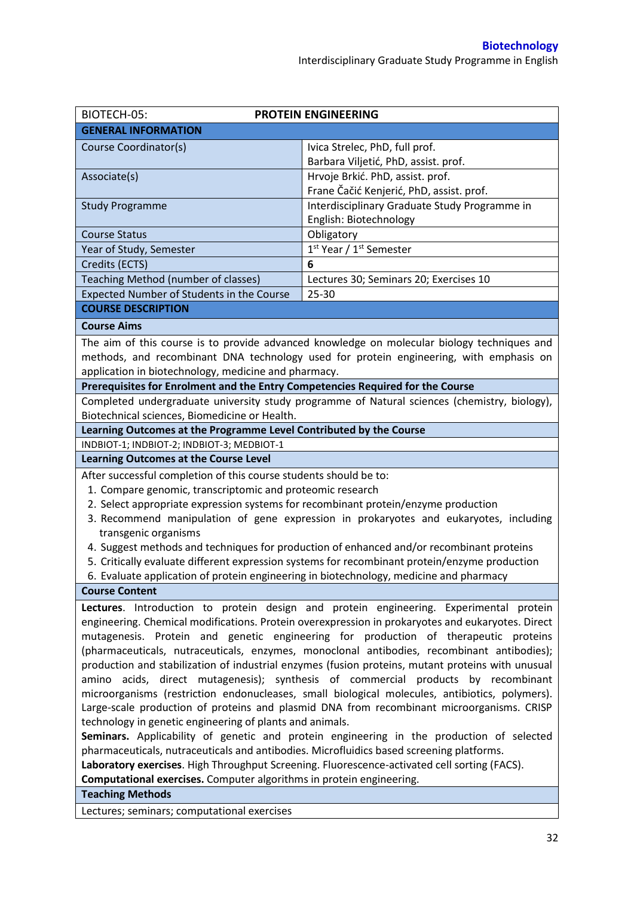| BIOTECH-05:                                                                                       | <b>PROTEIN ENGINEERING</b>                                                                   |  |  |  |
|---------------------------------------------------------------------------------------------------|----------------------------------------------------------------------------------------------|--|--|--|
| <b>GENERAL INFORMATION</b>                                                                        |                                                                                              |  |  |  |
| Course Coordinator(s)                                                                             | Ivica Strelec, PhD, full prof.                                                               |  |  |  |
|                                                                                                   | Barbara Viljetić, PhD, assist. prof.                                                         |  |  |  |
| Associate(s)                                                                                      | Hrvoje Brkić. PhD, assist. prof.                                                             |  |  |  |
|                                                                                                   | Frane Čačić Kenjerić, PhD, assist. prof.                                                     |  |  |  |
| <b>Study Programme</b>                                                                            | Interdisciplinary Graduate Study Programme in                                                |  |  |  |
|                                                                                                   | English: Biotechnology                                                                       |  |  |  |
| <b>Course Status</b>                                                                              | Obligatory                                                                                   |  |  |  |
| Year of Study, Semester                                                                           | 1 <sup>st</sup> Year / 1 <sup>st</sup> Semester                                              |  |  |  |
| Credits (ECTS)                                                                                    | 6                                                                                            |  |  |  |
| Teaching Method (number of classes)                                                               | Lectures 30; Seminars 20; Exercises 10                                                       |  |  |  |
| Expected Number of Students in the Course                                                         | 25-30                                                                                        |  |  |  |
| <b>COURSE DESCRIPTION</b>                                                                         |                                                                                              |  |  |  |
| <b>Course Aims</b>                                                                                |                                                                                              |  |  |  |
|                                                                                                   |                                                                                              |  |  |  |
|                                                                                                   | The aim of this course is to provide advanced knowledge on molecular biology techniques and  |  |  |  |
|                                                                                                   | methods, and recombinant DNA technology used for protein engineering, with emphasis on       |  |  |  |
| application in biotechnology, medicine and pharmacy.                                              |                                                                                              |  |  |  |
| Prerequisites for Enrolment and the Entry Competencies Required for the Course                    |                                                                                              |  |  |  |
|                                                                                                   | Completed undergraduate university study programme of Natural sciences (chemistry, biology), |  |  |  |
| Biotechnical sciences, Biomedicine or Health.                                                     |                                                                                              |  |  |  |
| Learning Outcomes at the Programme Level Contributed by the Course                                |                                                                                              |  |  |  |
| INDBIOT-1; INDBIOT-2; INDBIOT-3; MEDBIOT-1<br><b>Learning Outcomes at the Course Level</b>        |                                                                                              |  |  |  |
|                                                                                                   |                                                                                              |  |  |  |
| After successful completion of this course students should be to:                                 |                                                                                              |  |  |  |
| 1. Compare genomic, transcriptomic and proteomic research                                         |                                                                                              |  |  |  |
| 2. Select appropriate expression systems for recombinant protein/enzyme production                |                                                                                              |  |  |  |
| 3. Recommend manipulation of gene expression in prokaryotes and eukaryotes, including             |                                                                                              |  |  |  |
| transgenic organisms                                                                              |                                                                                              |  |  |  |
|                                                                                                   | 4. Suggest methods and techniques for production of enhanced and/or recombinant proteins     |  |  |  |
| 5. Critically evaluate different expression systems for recombinant protein/enzyme production     |                                                                                              |  |  |  |
| 6. Evaluate application of protein engineering in biotechnology, medicine and pharmacy            |                                                                                              |  |  |  |
| <b>Course Content</b>                                                                             |                                                                                              |  |  |  |
|                                                                                                   | Lectures. Introduction to protein design and protein engineering. Experimental protein       |  |  |  |
| engineering. Chemical modifications. Protein overexpression in prokaryotes and eukaryotes. Direct |                                                                                              |  |  |  |
| mutagenesis. Protein and genetic engineering for production of therapeutic proteins               |                                                                                              |  |  |  |
| (pharmaceuticals, nutraceuticals, enzymes, monoclonal antibodies, recombinant antibodies);        |                                                                                              |  |  |  |
| production and stabilization of industrial enzymes (fusion proteins, mutant proteins with unusual |                                                                                              |  |  |  |
| amino acids, direct mutagenesis); synthesis of commercial products by recombinant                 |                                                                                              |  |  |  |
| microorganisms (restriction endonucleases, small biological molecules, antibiotics, polymers).    |                                                                                              |  |  |  |
| Large-scale production of proteins and plasmid DNA from recombinant microorganisms. CRISP         |                                                                                              |  |  |  |
| technology in genetic engineering of plants and animals.                                          |                                                                                              |  |  |  |
| Seminars. Applicability of genetic and protein engineering in the production of selected          |                                                                                              |  |  |  |
| pharmaceuticals, nutraceuticals and antibodies. Microfluidics based screening platforms.          |                                                                                              |  |  |  |
| Laboratory exercises. High Throughput Screening. Fluorescence-activated cell sorting (FACS).      |                                                                                              |  |  |  |
| Computational exercises. Computer algorithms in protein engineering.                              |                                                                                              |  |  |  |
| <b>Teaching Methods</b>                                                                           |                                                                                              |  |  |  |
| Lectures; seminars; computational exercises                                                       |                                                                                              |  |  |  |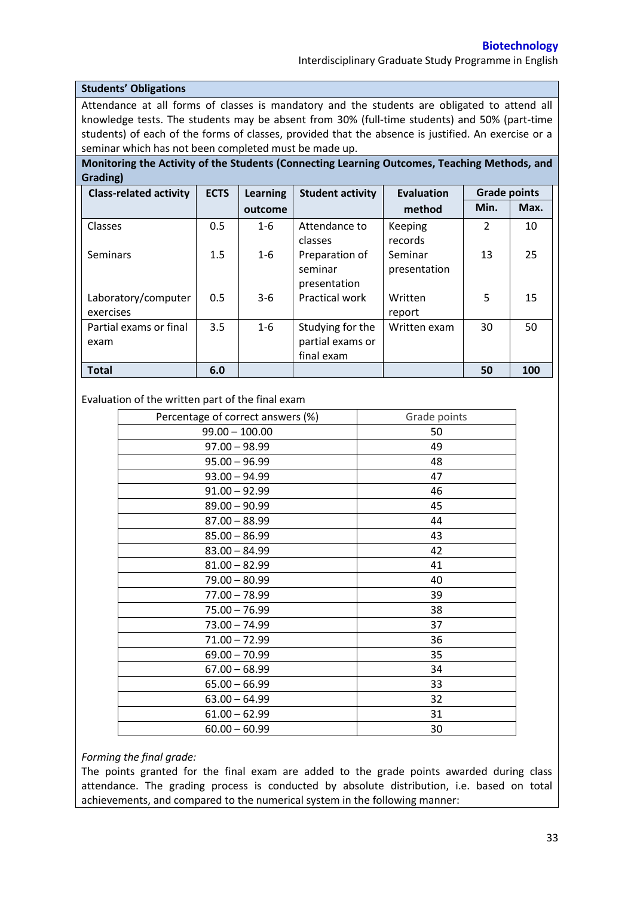Interdisciplinary Graduate Study Programme in English

## **Students' Obligations**

Attendance at all forms of classes is mandatory and the students are obligated to attend all knowledge tests. The students may be absent from 30% (full-time students) and 50% (part-time students) of each of the forms of classes, provided that the absence is justified. An exercise or a seminar which has not been completed must be made up.

**Monitoring the Activity of the Students (Connecting Learning Outcomes, Teaching Methods, and Grading)**

| <b>Class-related activity</b>    | <b>ECTS</b> | <b>Learning</b> | <b>Student activity</b>                            | <b>Evaluation</b>       | <b>Grade points</b> |      |
|----------------------------------|-------------|-----------------|----------------------------------------------------|-------------------------|---------------------|------|
|                                  |             | outcome         |                                                    | method                  | Min.                | Max. |
| Classes                          | 0.5         | $1 - 6$         | Attendance to<br>classes                           | Keeping<br>records      | $\mathcal{P}$       | 10   |
| Seminars                         | 1.5         | $1 - 6$         | Preparation of<br>seminar<br>presentation          | Seminar<br>presentation | 13                  | 25   |
| Laboratory/computer<br>exercises | 0.5         | $3-6$           | Practical work                                     | Written<br>report       | 5                   | 15   |
| Partial exams or final<br>exam   | 3.5         | $1 - 6$         | Studying for the<br>partial exams or<br>final exam | Written exam            | 30                  | 50   |
| <b>Total</b>                     | 6.0         |                 |                                                    |                         | 50                  | 100  |

## Evaluation of the written part of the final exam

| Percentage of correct answers (%) | Grade points |
|-----------------------------------|--------------|
| $99.00 - 100.00$                  | 50           |
| $97.00 - 98.99$                   | 49           |
| $95.00 - 96.99$                   | 48           |
| $93.00 - 94.99$                   | 47           |
| $91.00 - 92.99$                   | 46           |
| $89.00 - 90.99$                   | 45           |
| $87.00 - 88.99$                   | 44           |
| $85.00 - 86.99$                   | 43           |
| $83.00 - 84.99$                   | 42           |
| $81.00 - 82.99$                   | 41           |
| $79.00 - 80.99$                   | 40           |
| $77.00 - 78.99$                   | 39           |
| $75.00 - 76.99$                   | 38           |
| $73.00 - 74.99$                   | 37           |
| $71.00 - 72.99$                   | 36           |
| $69.00 - 70.99$                   | 35           |
| $67.00 - 68.99$                   | 34           |
| $65.00 - 66.99$                   | 33           |
| $63.00 - 64.99$                   | 32           |
| $61.00 - 62.99$                   | 31           |
| $60.00 - 60.99$                   | 30           |

## *Forming the final grade:*

The points granted for the final exam are added to the grade points awarded during class attendance. The grading process is conducted by absolute distribution, i.e. based on total achievements, and compared to the numerical system in the following manner: